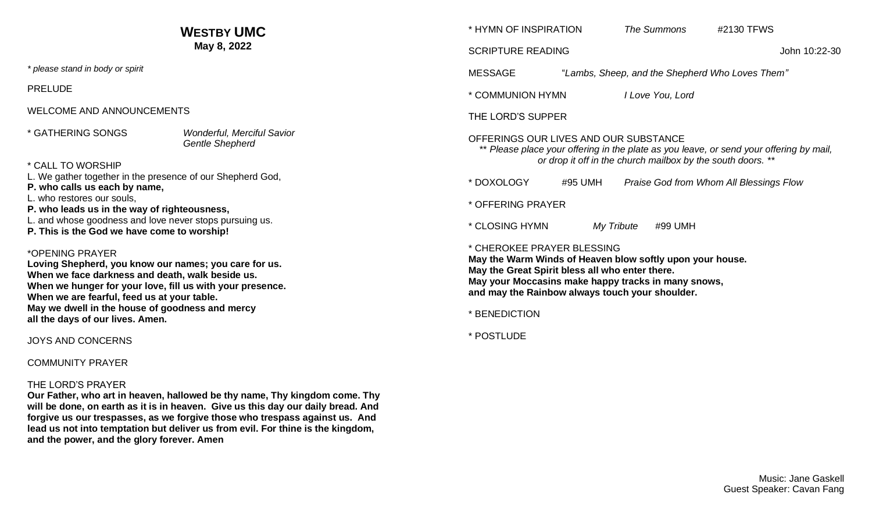| <b>WESTBY UMC</b><br>May 8, 2022                                                                                                                                                                                                                                                                                                |                                                             | * HYMN OF INSPIRATION                                                                                                                                                                                                                                                 |                                                 | The Summons      | #2130 TFWS |
|---------------------------------------------------------------------------------------------------------------------------------------------------------------------------------------------------------------------------------------------------------------------------------------------------------------------------------|-------------------------------------------------------------|-----------------------------------------------------------------------------------------------------------------------------------------------------------------------------------------------------------------------------------------------------------------------|-------------------------------------------------|------------------|------------|
|                                                                                                                                                                                                                                                                                                                                 |                                                             | John 10:22-30<br><b>SCRIPTURE READING</b>                                                                                                                                                                                                                             |                                                 |                  |            |
| * please stand in body or spirit                                                                                                                                                                                                                                                                                                |                                                             | <b>MESSAGE</b>                                                                                                                                                                                                                                                        | "Lambs, Sheep, and the Shepherd Who Loves Them" |                  |            |
| <b>PRELUDE</b>                                                                                                                                                                                                                                                                                                                  |                                                             | * COMMUNION HYMN                                                                                                                                                                                                                                                      |                                                 | I Love You, Lord |            |
| <b>WELCOME AND ANNOUNCEMENTS</b>                                                                                                                                                                                                                                                                                                |                                                             | THE LORD'S SUPPER                                                                                                                                                                                                                                                     |                                                 |                  |            |
| * GATHERING SONGS<br>* CALL TO WORSHIP                                                                                                                                                                                                                                                                                          | <b>Wonderful, Merciful Savior</b><br><b>Gentle Shepherd</b> | OFFERINGS OUR LIVES AND OUR SUBSTANCE<br>** Please place your offering in the plate as you leave, or send your offering by mail,<br>or drop it off in the church mailbox by the south doors. **                                                                       |                                                 |                  |            |
| L. We gather together in the presence of our Shepherd God,<br>P. who calls us each by name,<br>L. who restores our souls,<br>P. who leads us in the way of righteousness,<br>L. and whose goodness and love never stops pursuing us.<br>P. This is the God we have come to worship!                                             |                                                             | Praise God from Whom All Blessings Flow<br>* DOXOLOGY<br>#95 UMH<br>* OFFERING PRAYER                                                                                                                                                                                 |                                                 |                  |            |
|                                                                                                                                                                                                                                                                                                                                 |                                                             | * CLOSING HYMN<br>My Tribute<br>#99 UMH                                                                                                                                                                                                                               |                                                 |                  |            |
| *OPENING PRAYER<br>Loving Shepherd, you know our names; you care for us.<br>When we face darkness and death, walk beside us.<br>When we hunger for your love, fill us with your presence.<br>When we are fearful, feed us at your table.<br>May we dwell in the house of goodness and mercy<br>all the days of our lives. Amen. |                                                             | * CHEROKEE PRAYER BLESSING<br>May the Warm Winds of Heaven blow softly upon your house.<br>May the Great Spirit bless all who enter there.<br>May your Moccasins make happy tracks in many snows,<br>and may the Rainbow always touch your shoulder.<br>* BENEDICTION |                                                 |                  |            |
| <b>JOYS AND CONCERNS</b>                                                                                                                                                                                                                                                                                                        |                                                             | * POSTLUDE                                                                                                                                                                                                                                                            |                                                 |                  |            |

COMMUNITY PRAYER

### THE LORD'S PRAYER

**Our Father, who art in heaven, hallowed be thy name, Thy kingdom come. Thy will be done, on earth as it is in heaven. Give us this day our daily bread. And forgive us our trespasses, as we forgive those who trespass against us. And lead us not into temptation but deliver us from evil. For thine is the kingdom, and the power, and the glory forever. Amen**